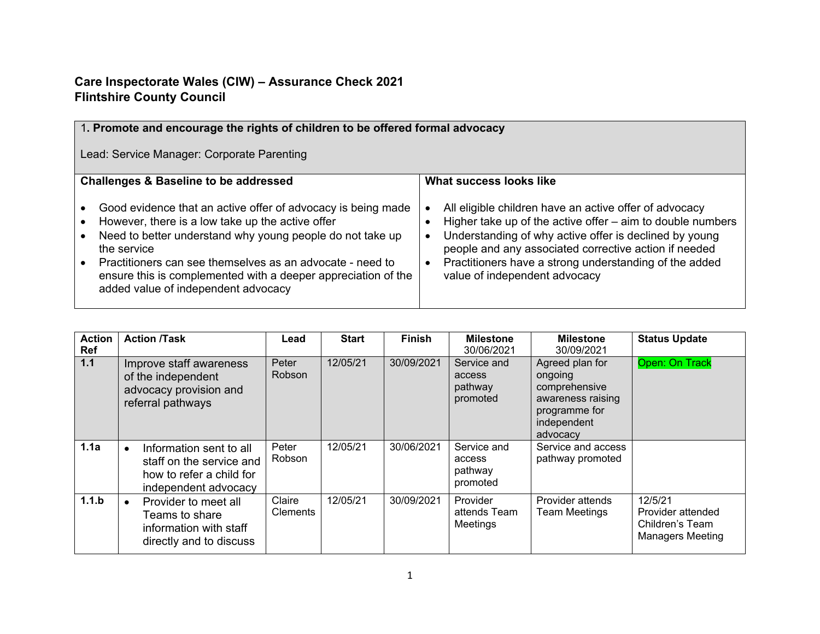## **Care Inspectorate Wales (CIW) – Assurance Check 2021 Flintshire County Council**

| 1. Promote and encourage the rights of children to be offered formal advocacy                                                                                                                                                                                                                                                                                     |                                                                                                                                                                                                                                                                                                                                                              |  |  |  |  |  |  |
|-------------------------------------------------------------------------------------------------------------------------------------------------------------------------------------------------------------------------------------------------------------------------------------------------------------------------------------------------------------------|--------------------------------------------------------------------------------------------------------------------------------------------------------------------------------------------------------------------------------------------------------------------------------------------------------------------------------------------------------------|--|--|--|--|--|--|
| Lead: Service Manager: Corporate Parenting                                                                                                                                                                                                                                                                                                                        |                                                                                                                                                                                                                                                                                                                                                              |  |  |  |  |  |  |
| <b>Challenges &amp; Baseline to be addressed</b>                                                                                                                                                                                                                                                                                                                  | What success looks like                                                                                                                                                                                                                                                                                                                                      |  |  |  |  |  |  |
| Good evidence that an active offer of advocacy is being made<br>However, there is a low take up the active offer<br>Need to better understand why young people do not take up<br>the service<br>Practitioners can see themselves as an advocate - need to<br>ensure this is complemented with a deeper appreciation of the<br>added value of independent advocacy | All eligible children have an active offer of advocacy<br>Higher take up of the active offer - aim to double numbers<br>Understanding of why active offer is declined by young<br>$\bullet$<br>people and any associated corrective action if needed<br>Practitioners have a strong understanding of the added<br>$\bullet$<br>value of independent advocacy |  |  |  |  |  |  |

| <b>Action</b><br>Ref | <b>Action /Task</b>                                                                                     | Lead               | <b>Start</b> | <b>Finish</b> | <b>Milestone</b><br>30/06/2021               | <b>Milestone</b><br>30/09/2021                                                                               | <b>Status Update</b>                                                       |
|----------------------|---------------------------------------------------------------------------------------------------------|--------------------|--------------|---------------|----------------------------------------------|--------------------------------------------------------------------------------------------------------------|----------------------------------------------------------------------------|
| $1.1$                | Improve staff awareness<br>of the independent<br>advocacy provision and<br>referral pathways            | Peter<br>Robson    | 12/05/21     | 30/09/2021    | Service and<br>access<br>pathway<br>promoted | Agreed plan for<br>ongoing<br>comprehensive<br>awareness raising<br>programme for<br>independent<br>advocacy | Open: On Track                                                             |
| 1.1a                 | Information sent to all<br>staff on the service and<br>how to refer a child for<br>independent advocacy | Peter<br>Robson    | 12/05/21     | 30/06/2021    | Service and<br>access<br>pathway<br>promoted | Service and access<br>pathway promoted                                                                       |                                                                            |
| 1.1.b                | Provider to meet all<br>Teams to share<br>information with staff<br>directly and to discuss             | Claire<br>Clements | 12/05/21     | 30/09/2021    | Provider<br>attends Team<br>Meetings         | Provider attends<br><b>Team Meetings</b>                                                                     | 12/5/21<br>Provider attended<br>Children's Team<br><b>Managers Meeting</b> |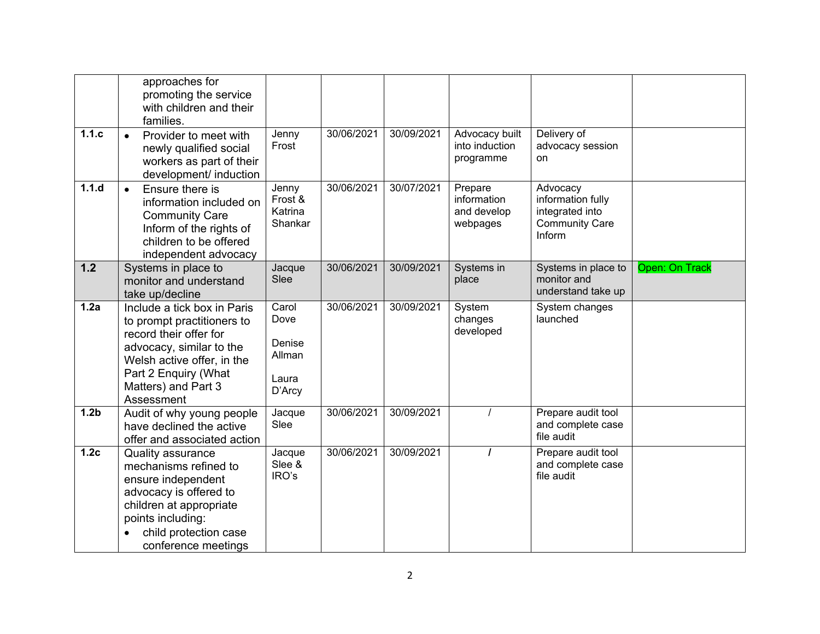|                  | approaches for<br>promoting the service<br>with children and their<br>families.                                                                                                                            |                                                      |            |            |                                                   |                                                                                     |                |
|------------------|------------------------------------------------------------------------------------------------------------------------------------------------------------------------------------------------------------|------------------------------------------------------|------------|------------|---------------------------------------------------|-------------------------------------------------------------------------------------|----------------|
| 1.1.c            | Provider to meet with<br>$\bullet$<br>newly qualified social<br>workers as part of their<br>development/ induction                                                                                         | Jenny<br>Frost                                       | 30/06/2021 | 30/09/2021 | Advocacy built<br>into induction<br>programme     | Delivery of<br>advocacy session<br>on                                               |                |
| 1.1.d            | Ensure there is<br>$\bullet$<br>information included on<br><b>Community Care</b><br>Inform of the rights of<br>children to be offered<br>independent advocacy                                              | Jenny<br>Frost &<br>Katrina<br>Shankar               | 30/06/2021 | 30/07/2021 | Prepare<br>information<br>and develop<br>webpages | Advocacy<br>information fully<br>integrated into<br><b>Community Care</b><br>Inform |                |
| 1.2              | Systems in place to<br>monitor and understand<br>take up/decline                                                                                                                                           | Jacque<br>Slee                                       | 30/06/2021 | 30/09/2021 | Systems in<br>place                               | Systems in place to<br>monitor and<br>understand take up                            | Open: On Track |
| 1.2a             | Include a tick box in Paris<br>to prompt practitioners to<br>record their offer for<br>advocacy, similar to the<br>Welsh active offer, in the<br>Part 2 Enquiry (What<br>Matters) and Part 3<br>Assessment | Carol<br>Dove<br>Denise<br>Allman<br>Laura<br>D'Arcy | 30/06/2021 | 30/09/2021 | System<br>changes<br>developed                    | System changes<br>launched                                                          |                |
| 1.2 <sub>b</sub> | Audit of why young people<br>have declined the active<br>offer and associated action                                                                                                                       | Jacque<br>Slee                                       | 30/06/2021 | 30/09/2021 |                                                   | Prepare audit tool<br>and complete case<br>file audit                               |                |
| 1.2 <sub>c</sub> | <b>Quality assurance</b><br>mechanisms refined to<br>ensure independent<br>advocacy is offered to<br>children at appropriate<br>points including:<br>child protection case<br>conference meetings          | Jacque<br>Slee &<br>IRO's                            | 30/06/2021 | 30/09/2021 |                                                   | Prepare audit tool<br>and complete case<br>file audit                               |                |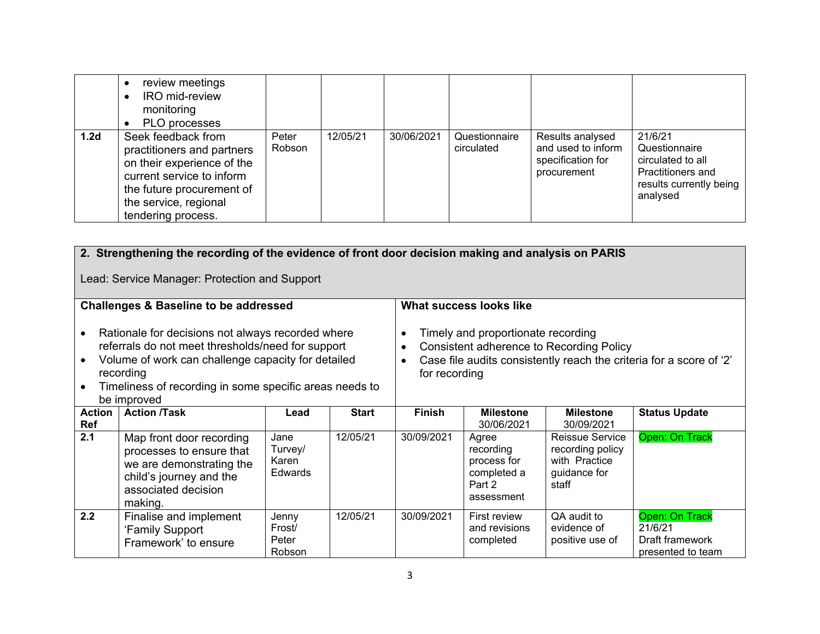|                  | review meetings<br><b>IRO</b> mid-review<br>monitoring<br>PLO processes                                                                                                                 |                 |          |            |                             |                                                                            |                                                                                                           |
|------------------|-----------------------------------------------------------------------------------------------------------------------------------------------------------------------------------------|-----------------|----------|------------|-----------------------------|----------------------------------------------------------------------------|-----------------------------------------------------------------------------------------------------------|
| 1.2 <sub>d</sub> | Seek feedback from<br>practitioners and partners<br>on their experience of the<br>current service to inform<br>the future procurement of<br>the service, regional<br>tendering process. | Peter<br>Robson | 12/05/21 | 30/06/2021 | Questionnaire<br>circulated | Results analysed<br>and used to inform<br>specification for<br>procurement | 21/6/21<br>Questionnaire<br>circulated to all<br>Practitioners and<br>results currently being<br>analysed |

|                                                                                                                                                                                                                                                                  | 2. Strengthening the recording of the evidence of front door decision making and analysis on PARIS                                            |                                            |                                                                                                                                                                        |               |                                                                          |                                                                                      |                                                                   |  |  |  |  |
|------------------------------------------------------------------------------------------------------------------------------------------------------------------------------------------------------------------------------------------------------------------|-----------------------------------------------------------------------------------------------------------------------------------------------|--------------------------------------------|------------------------------------------------------------------------------------------------------------------------------------------------------------------------|---------------|--------------------------------------------------------------------------|--------------------------------------------------------------------------------------|-------------------------------------------------------------------|--|--|--|--|
| Lead: Service Manager: Protection and Support                                                                                                                                                                                                                    |                                                                                                                                               |                                            |                                                                                                                                                                        |               |                                                                          |                                                                                      |                                                                   |  |  |  |  |
|                                                                                                                                                                                                                                                                  | <b>Challenges &amp; Baseline to be addressed</b>                                                                                              |                                            |                                                                                                                                                                        |               | <b>What success looks like</b>                                           |                                                                                      |                                                                   |  |  |  |  |
| Rationale for decisions not always recorded where<br>referrals do not meet thresholds/need for support<br>Volume of work can challenge capacity for detailed<br>$\bullet$<br>recording<br>Timeliness of recording in some specific areas needs to<br>be improved |                                                                                                                                               |                                            | Timely and proportionate recording<br>Consistent adherence to Recording Policy<br>Case file audits consistently reach the criteria for a score of '2'<br>for recording |               |                                                                          |                                                                                      |                                                                   |  |  |  |  |
| <b>Action</b><br>Ref                                                                                                                                                                                                                                             | <b>Action /Task</b>                                                                                                                           | Lead                                       | <b>Start</b>                                                                                                                                                           | <b>Finish</b> | <b>Milestone</b><br>30/06/2021                                           | <b>Milestone</b><br>30/09/2021                                                       | <b>Status Update</b>                                              |  |  |  |  |
| 2.1                                                                                                                                                                                                                                                              | Map front door recording<br>processes to ensure that<br>we are demonstrating the<br>child's journey and the<br>associated decision<br>making. | Jane<br>Turvey/<br>Karen<br><b>Edwards</b> | 12/05/21                                                                                                                                                               | 30/09/2021    | Agree<br>recording<br>process for<br>completed a<br>Part 2<br>assessment | <b>Reissue Service</b><br>recording policy<br>with Practice<br>guidance for<br>staff | Open: On Track                                                    |  |  |  |  |
| 2.2                                                                                                                                                                                                                                                              | Finalise and implement<br>'Family Support<br>Framework' to ensure                                                                             | Jenny<br>Frost/<br>Peter<br>Robson         | 12/05/21                                                                                                                                                               | 30/09/2021    | First review<br>and revisions<br>completed                               | QA audit to<br>evidence of<br>positive use of                                        | Open: On Track<br>21/6/21<br>Draft framework<br>presented to team |  |  |  |  |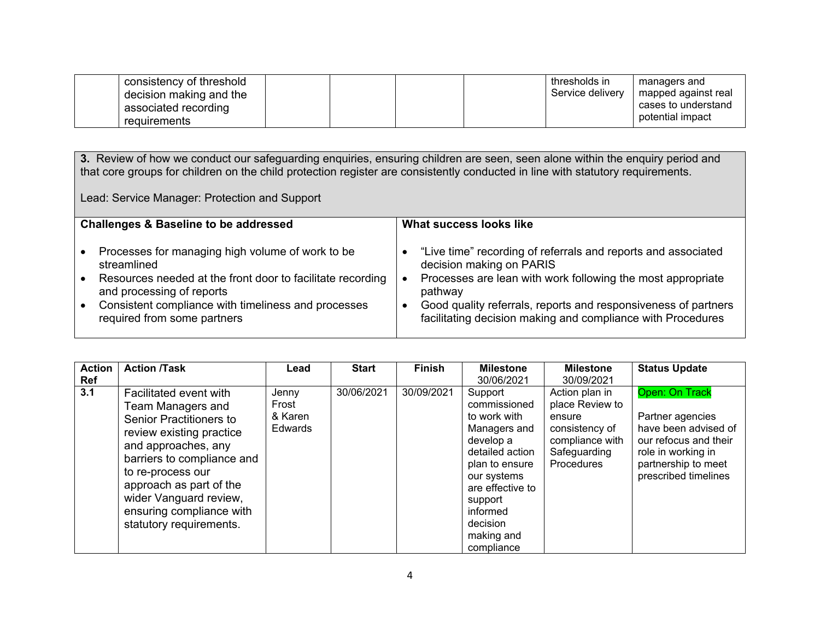| consistency of threshold<br>decision making and the<br>associated recording |  |  | thresholds in<br>Service delivery | managers and<br>mapped against real<br>cases to understand |
|-----------------------------------------------------------------------------|--|--|-----------------------------------|------------------------------------------------------------|
| reguirements                                                                |  |  |                                   | potential impact                                           |

**3.** Review of how we conduct our safeguarding enquiries, ensuring children are seen, seen alone within the enquiry period and that core groups for children on the child protection register are consistently conducted in line with statutory requirements.

Lead: Service Manager: Protection and Support

| <b>Challenges &amp; Baseline to be addressed</b>           | What success looks like                                        |  |  |  |  |  |
|------------------------------------------------------------|----------------------------------------------------------------|--|--|--|--|--|
| Processes for managing high volume of work to be           | "Live time" recording of referrals and reports and associated  |  |  |  |  |  |
| streamlined                                                | decision making on PARIS                                       |  |  |  |  |  |
| Resources needed at the front door to facilitate recording | Processes are lean with work following the most appropriate    |  |  |  |  |  |
| and processing of reports                                  | pathway                                                        |  |  |  |  |  |
| Consistent compliance with timeliness and processes        | Good quality referrals, reports and responsiveness of partners |  |  |  |  |  |
| required from some partners                                | facilitating decision making and compliance with Procedures    |  |  |  |  |  |

| <b>Action</b><br><b>Ref</b> | <b>Action /Task</b>                                                                                                                                                                                                                                                                      | Lead                                        | <b>Start</b> | <b>Finish</b> | <b>Milestone</b><br>30/06/2021                                                                                                                                                                              | <b>Milestone</b><br>30/09/2021                                                                                 | <b>Status Update</b>                                                                                                                                     |
|-----------------------------|------------------------------------------------------------------------------------------------------------------------------------------------------------------------------------------------------------------------------------------------------------------------------------------|---------------------------------------------|--------------|---------------|-------------------------------------------------------------------------------------------------------------------------------------------------------------------------------------------------------------|----------------------------------------------------------------------------------------------------------------|----------------------------------------------------------------------------------------------------------------------------------------------------------|
| 3.1                         | Facilitated event with<br>Team Managers and<br>Senior Practitioners to<br>review existing practice<br>and approaches, any<br>barriers to compliance and<br>to re-process our<br>approach as part of the<br>wider Vanguard review,<br>ensuring compliance with<br>statutory requirements. | Jenny<br>Frost<br>& Karen<br><b>Edwards</b> | 30/06/2021   | 30/09/2021    | Support<br>commissioned<br>to work with<br>Managers and<br>develop a<br>detailed action<br>plan to ensure<br>our systems<br>are effective to<br>support<br>informed<br>decision<br>making and<br>compliance | Action plan in<br>place Review to<br>ensure<br>consistency of<br>compliance with<br>Safeguarding<br>Procedures | Open: On Track<br>Partner agencies<br>have been advised of<br>our refocus and their<br>role in working in<br>partnership to meet<br>prescribed timelines |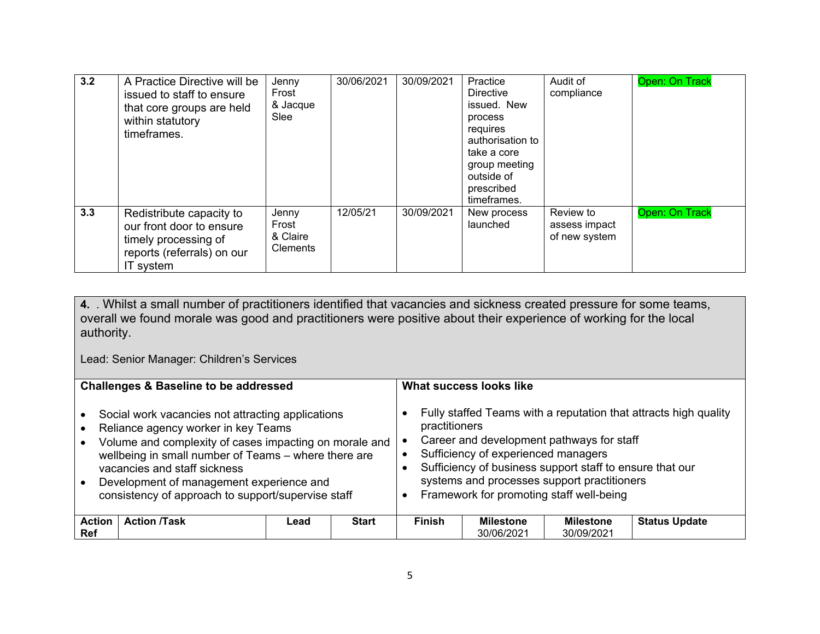| 3.2 | A Practice Directive will be<br>issued to staff to ensure<br>that core groups are held<br>within statutory<br>timeframes. | Jenny<br>Frost<br>& Jacque<br>Slee            | 30/06/2021 | 30/09/2021 | Practice<br><b>Directive</b><br>issued. New<br>process<br>requires<br>authorisation to<br>take a core<br>group meeting<br>outside of<br>prescribed<br>timeframes. | Audit of<br>compliance                      | Open: On Track |
|-----|---------------------------------------------------------------------------------------------------------------------------|-----------------------------------------------|------------|------------|-------------------------------------------------------------------------------------------------------------------------------------------------------------------|---------------------------------------------|----------------|
| 3.3 | Redistribute capacity to<br>our front door to ensure<br>timely processing of<br>reports (referrals) on our<br>IT system   | Jenny<br>Frost<br>& Claire<br><b>Clements</b> | 12/05/21   | 30/09/2021 | New process<br>launched                                                                                                                                           | Review to<br>assess impact<br>of new system | Open: On Track |

**4.** . Whilst a small number of practitioners identified that vacancies and sickness created pressure for some teams, overall we found morale was good and practitioners were positive about their experience of working for the local authority.

Lead: Senior Manager: Children's Services

| <b>Challenges &amp; Baseline to be addressed</b>                                                                                                                                                                                                                                                                                             |      | What success looks like |               |                                     |                                                                                                                                                                                                  |                                                                  |
|----------------------------------------------------------------------------------------------------------------------------------------------------------------------------------------------------------------------------------------------------------------------------------------------------------------------------------------------|------|-------------------------|---------------|-------------------------------------|--------------------------------------------------------------------------------------------------------------------------------------------------------------------------------------------------|------------------------------------------------------------------|
| Social work vacancies not attracting applications<br>Reliance agency worker in key Teams<br>Volume and complexity of cases impacting on morale and<br>wellbeing in small number of Teams - where there are<br>vacancies and staff sickness<br>Development of management experience and<br>consistency of approach to support/supervise staff |      |                         | practitioners | Sufficiency of experienced managers | Career and development pathways for staff<br>Sufficiency of business support staff to ensure that our<br>systems and processes support practitioners<br>Framework for promoting staff well-being | Fully staffed Teams with a reputation that attracts high quality |
| <b>Action</b><br><b>Action /Task</b><br><b>Ref</b>                                                                                                                                                                                                                                                                                           | Lead | <b>Start</b>            | <b>Finish</b> | <b>Milestone</b><br>30/06/2021      | <b>Milestone</b><br>30/09/2021                                                                                                                                                                   | <b>Status Update</b>                                             |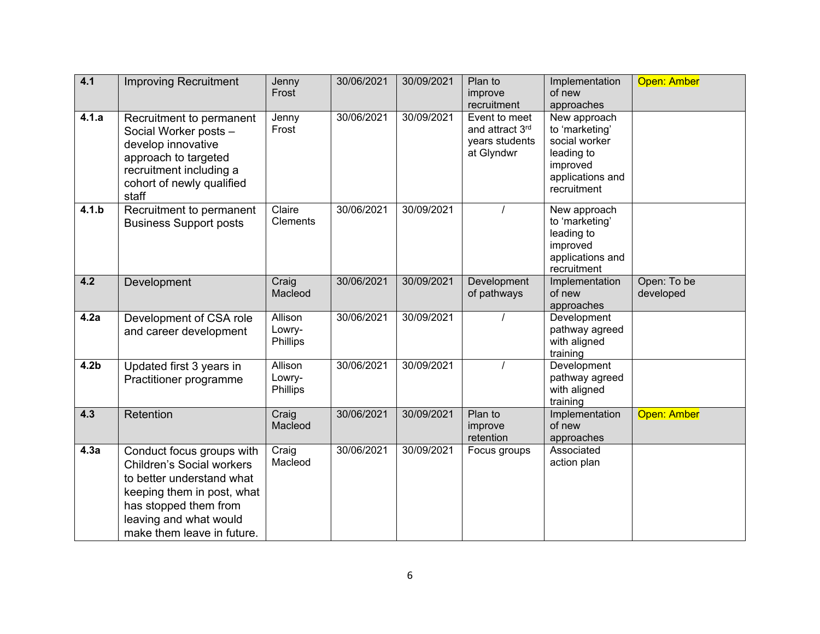| 4.1              | <b>Improving Recruitment</b>                                                                                                                                                                              | Jenny<br>Frost                | 30/06/2021 | 30/09/2021 | Plan to<br>improve<br>recruitment                                | Implementation<br>of new<br>approaches                                                                       | Open: Amber              |
|------------------|-----------------------------------------------------------------------------------------------------------------------------------------------------------------------------------------------------------|-------------------------------|------------|------------|------------------------------------------------------------------|--------------------------------------------------------------------------------------------------------------|--------------------------|
| 4.1.a            | Recruitment to permanent<br>Social Worker posts -<br>develop innovative<br>approach to targeted<br>recruitment including a<br>cohort of newly qualified<br>staff                                          | Jenny<br>Frost                | 30/06/2021 | 30/09/2021 | Event to meet<br>and attract 3rd<br>years students<br>at Glyndwr | New approach<br>to 'marketing'<br>social worker<br>leading to<br>improved<br>applications and<br>recruitment |                          |
| 4.1.b            | Recruitment to permanent<br><b>Business Support posts</b>                                                                                                                                                 | Claire<br><b>Clements</b>     | 30/06/2021 | 30/09/2021 |                                                                  | New approach<br>to 'marketing'<br>leading to<br>improved<br>applications and<br>recruitment                  |                          |
| 4.2              | Development                                                                                                                                                                                               | Craig<br>Macleod              | 30/06/2021 | 30/09/2021 | Development<br>of pathways                                       | Implementation<br>of new<br>approaches                                                                       | Open: To be<br>developed |
| 4.2a             | Development of CSA role<br>and career development                                                                                                                                                         | Allison<br>Lowry-<br>Phillips | 30/06/2021 | 30/09/2021 |                                                                  | Development<br>pathway agreed<br>with aligned<br>training                                                    |                          |
| 4.2 <sub>b</sub> | Updated first 3 years in<br>Practitioner programme                                                                                                                                                        | Allison<br>Lowry-<br>Phillips | 30/06/2021 | 30/09/2021 |                                                                  | Development<br>pathway agreed<br>with aligned<br>training                                                    |                          |
| 4.3              | Retention                                                                                                                                                                                                 | Craig<br>Macleod              | 30/06/2021 | 30/09/2021 | Plan to<br>improve<br>retention                                  | Implementation<br>of new<br>approaches                                                                       | Open: Amber              |
| 4.3a             | Conduct focus groups with<br><b>Children's Social workers</b><br>to better understand what<br>keeping them in post, what<br>has stopped them from<br>leaving and what would<br>make them leave in future. | Craig<br>Macleod              | 30/06/2021 | 30/09/2021 | Focus groups                                                     | Associated<br>action plan                                                                                    |                          |